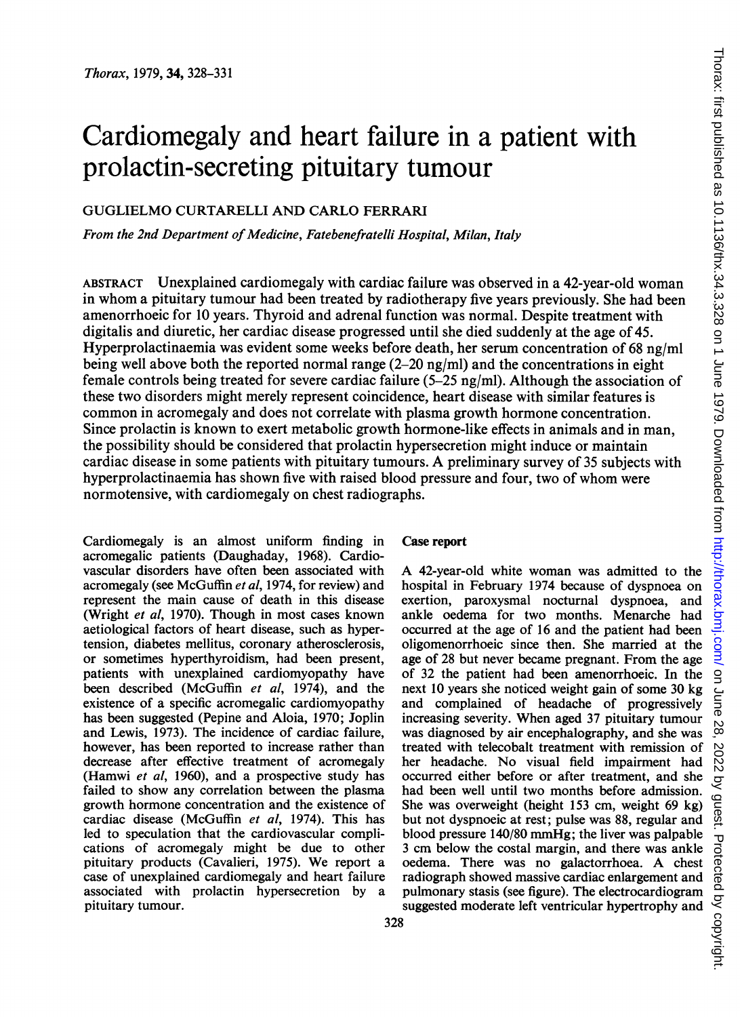# Cardiomegaly and heart failure in a patient with prolactin-secreting pituitary tumour

### GUGLIELMO CURTARELLI AND CARLO FERRARI

From the 2nd Department of Medicine, Fatebenefratelli Hospital, Milan, Italy

ABSTRACT Unexplained cardiomegaly with cardiac failure was observed in a 42-year-old woman in whom a pituitary tumour had been treated by radiotherapy five years previously. She had been amenorrhoeic for 10 years. Thyroid and adrenal function was normal. Despite treatment with digitalis and diuretic, her cardiac disease progressed until she died suddenly at the age of 45. Hyperprolactinaemia was evident some weeks before death, her serum concentration of 68 ng/ml being well above both the reported normal range  $(2-20 \text{ ng/ml})$  and the concentrations in eight female controls being treated for severe cardiac failure (5-25 ng/ml). Although the association of these two disorders might merely represent coincidence, heart disease with similar features is common in acromegaly and does not correlate with plasma growth hormone concentration. Since prolactin is known to exert metabolic growth hormone-like effects in animals and in man, the possibility should be considered that prolactin hypersecretion might induce or maintain cardiac disease in some patients with pituitary tumours. A preliminary survey of <sup>35</sup> subjects with hyperprolactinaemia has shown five with raised blood pressure and four, two of whom were normotensive, with cardiomegaly on chest radiographs.

Cardiomegaly is an almost uniform finding in acromegalic patients (Daughaday, 1968). Cardiovascular disorders have often been associated with acromegaly (see McGuffin et al, 1974, for review) and represent the main cause of death in this disease (Wright et al, 1970). Though in most cases known aetiological factors of heart disease, such as hypertension, diabetes mellitus, coronary atherosclerosis, or sometimes hyperthyroidism, had been present, patients with unexplained cardiomyopathy have been described (McGuffin et al, 1974), and the existence of a specific acromegalic cardiomyopathy has been suggested (Pepine and Aloia, 1970; Joplin and Lewis, 1973). The incidence of cardiac failure, however, has been reported to increase rather than decrease after effective treatment of acromegaly (Hamwi et al, 1960), and a prospective study has failed to show any correlation between the plasma growth hormone concentration and the existence of cardiac disease (McGuffin et al, 1974). This has led to speculation that the cardiovascular complications of acromegaly might be due to other pituitary products (Cavalieri, 1975). We report <sup>a</sup> case of unexplained cardiomegaly and heart failure associated with prolactin hypersecretion by a pituitary tumour.

#### Case report

A 42-year-old white woman was admitted to the hospital in February 1974 because of dyspnoea on exertion, paroxysmal nocturnal dyspnoea, and ankle oedema for two months. Menarche had occurred at the age of 16 and the patient had been oligomenorrhoeic since then. She married at the age of 28 but never became pregnant. From the age of 32 the patient had been amenorrhoeic. In the next 10 years she noticed weight gain of some 30 kg and complained of headache of progressively increasing severity. When aged 37 pituitary tumour was diagnosed by air encephalography, and she was treated with telecobalt treatment with remission of her headache. No visual field impairment had occurred either before or after treatment, and she had been well until two months before admission. She was overweight (height 153 cm, weight 69 kg) but not dyspnoeic at rest; pulse was 88, regular and blood pressure 140/80 mmHg; the liver was palpable <sup>3</sup> cm below the costal margin, and there was ankle oedema. There was no galactorrhoea. A chest radiograph showed massive cardiac enlargement and pulmonary stasis (see figure). The electrocardiogram suggested moderate left ventricular hypertrophy and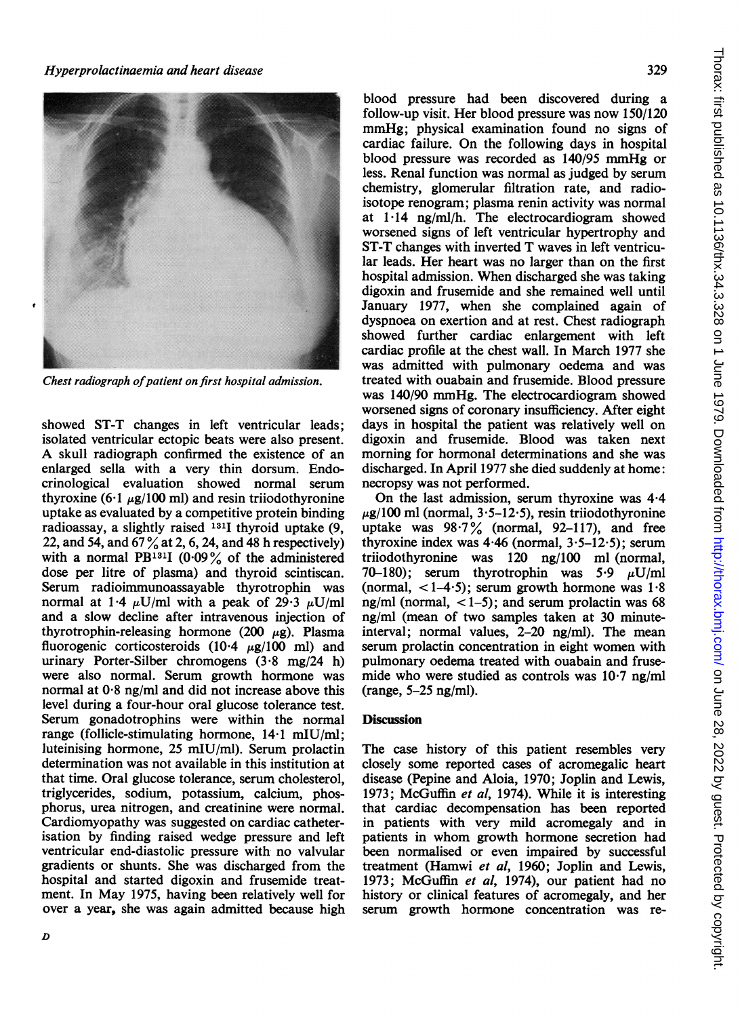

Chest radiograph of patient on first hospital admission.

showed ST-T changes in left ventricular leads; isolated ventricular ectopic beats were also present. A skull radiograph confirmed the existence of an enlarged sella with a very thin dorsum. Endocrinological evaluation showed normal serum thyroxine  $(6.1 \mu g/100 \text{ ml})$  and resin triiodothyronine uptake as evaluated by a competitive protein binding radioassay, a slightly raised 1311 thyroid uptake (9, 22, and 54, and <sup>67</sup> % at 2, 6, 24, and <sup>48</sup> <sup>h</sup> respectively) with a normal PB<sup>131</sup>I (0.09% of the administered dose per litre of plasma) and thyroid scintiscan. Serum radioimmunoassayable thyrotrophin was normal at 1.4  $\mu$ U/ml with a peak of 29.3  $\mu$ U/ml and a slow decline after intravenous injection of thyrotrophin-releasing hormone (200  $\mu$ g). Plasma fluorogenic corticosteroids (10.4  $\mu$ g/100 ml) and urinary Porter-Silber chromogens (3-8 mg/24 h) were also normal. Serum growth hormone was normal at 0-8 ng/ml and did not increase above this level during a four-hour oral glucose tolerance test. Serum gonadotrophins were within the normal range (follicle-stimulating hormone, <sup>14</sup>'1 mIU/ml; luteinising hormone, 25 mIU/ml). Serum prolactin determination was not available in this institution at that time. Oral glucose tolerance, serum cholesterol, triglycerides, sodium, potassium, calcium, phosphorus, urea nitrogen, and creatinine were normal. Cardiomyopathy was suggested on cardiac catheterisation by finding raised wedge pressure and left ventricular end-diastolic pressure with no valvular gradients or shunts. She was discharged from the hospital and started digoxin and frusemide treatment. In May 1975, having been relatively well for over a year, she was again admitted because high blood pressure had been discovered during a follow-up visit. Her blood pressure was now 150/120 mmHg; physical examination found no signs of cardiac failure. On the following days in hospital blood pressure was recorded as 140/95 mmHg or less. Renal function was normal as judged by serum chemistry, glomerular filtration rate, and radioisotope renogram; plasma renin activity was normal at 1-14 ng/ml/h. The electrocardiogram showed worsened signs of left ventricular hypertrophy and ST-T changes with inverted T waves in left ventricular leads. Her heart was no larger than on the first hospital admission. When discharged she was taking digoxin and frusemide and she remained well until January 1977, when she complained again of dyspnoea on exertion and at rest. Chest radiograph showed further cardiac enlargement with left cardiac profile at the chest wall. In March 1977 she was admitted with pulmonary oedema and was treated with ouabain and frusemide. Blood pressure was 140/90 mmHg. The electrocardiogram showed worsened signs of coronary insufficiency. After eight days in hospital the patient was relatively well on digoxin and frusemide. Blood was taken next morning for hormonal determinations and she was discharged. In April 1977 she died suddenly at home: necropsy was not performed.

On the last admission, serum thyroxine was 4-4  $\mu$ g/100 ml (normal, 3·5-12·5), resin triiodothyronine uptake was  $98.7\%$  (normal, 92-117), and free thyroxine index was  $4.46$  (normal,  $3.5-12.5$ ); serum triiodothyronine was 120 ng/100 ml (normal, 70-180); serum thyrotrophin was  $5.9 \mu U/ml$ (normal,  $\langle 1-4.5 \rangle$ ; serum growth hormone was 1.8 ng/ml (normal,  $<$  1–5); and serum prolactin was 68 ng/ml (mean of two samples taken at 30 minuteinterval; normal values, 2-20 ng/ml). The mean serum prolactin concentration in eight women with pulmonary oedema treated with ouabain and frusemide who were studied as controls was 10-7 ng/ml (range, 5-25 ng/ml).

## **Discussion**

The case history of this patient resembles very closely some reported cases of acromegalic heart disease (Pepine and Aloia, 1970; Joplin and Lewis, 1973; McGuffin et al, 1974). While it is interesting that cardiac decompensation has been reported in patients with very mild acromegaly and in patients in whom growth hormone secretion had been normalised or even impaired by successful treatment (Hamwi et al, 1960; Joplin and Lewis, 1973; McGuffin et al, 1974), our patient had no history or clinical features of acromegaly, and her serum growth hormone concentration was re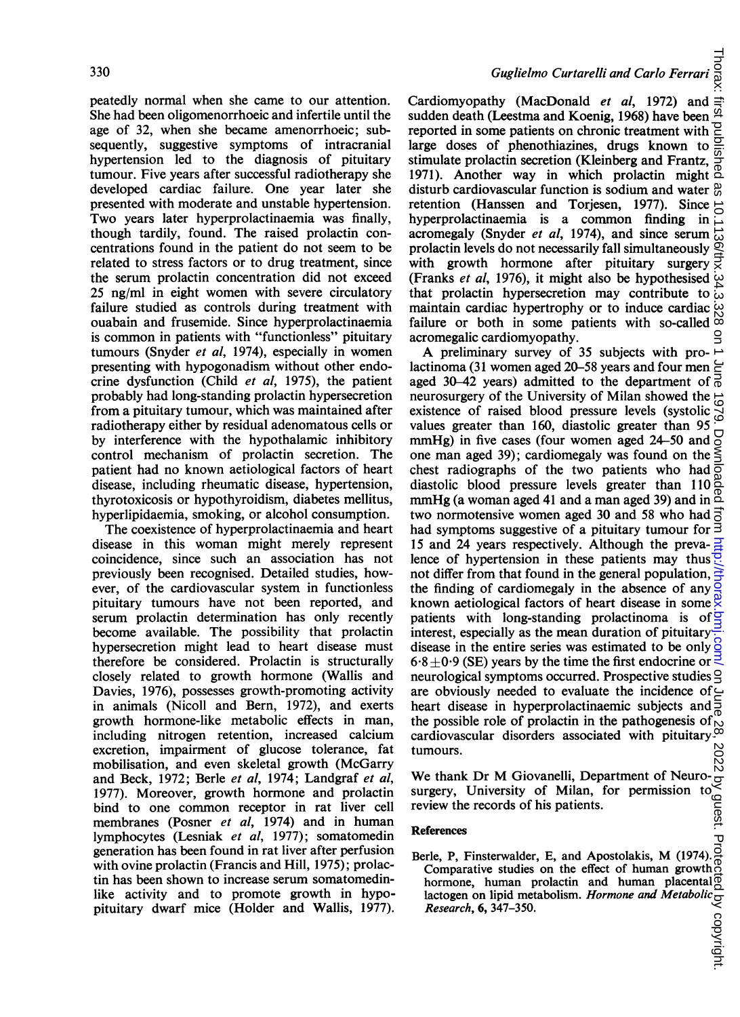peatedly normal when she came to our attention. She had been oligomenorrhoeic and infertile until the age of 32, when she became amenorrhoeic; subsequently, suggestive symptoms of intracranial hypertension led to the diagnosis of pituitary tumour. Five years after successful radiotherapy she developed cardiac failure. One year later she presented with moderate and unstable hypertension. Two years later hyperprolactinaemia was finally, though tardily, found. The raised prolactin concentrations found in the patient do not seem to be related to stress factors or to drug treatment, since the serum prolactin concentration did not exceed 25 ng/ml in eight women with severe circulatory failure studied as controls during treatment with ouabain and frusemide. Since hyperprolactinaemia is common in patients with "functionless" pituitary tumours (Snyder et al, 1974), especially in women presenting with hypogonadism without other endocrine dysfunction (Child et al, 1975), the patient probably had long-standing prolactin hypersecretion from a pituitary tumour, which was maintained after radiotherapy either by residual adenomatous cells or by interference with the hypothalamic inhibitory control mechanism of prolactin secretion. The patient had no known aetiological factors of heart disease, including rheumatic disease, hypertension, thyrotoxicosis or hypothyroidism, diabetes mellitus, hyperlipidaemia, smoking, or alcohol consumption.

The coexistence of hyperprolactinaemia and heart disease in this woman might merely represent coincidence, since such an association has not previously been recognised. Detailed studies, however, of the cardiovascular system in functionless pituitary tumours have not been reported, and serum prolactin determination has only recently become available. The possibility that prolactin hypersecretion might lead to heart disease must therefore be considered. Prolactin is structurally closely related to growth hormone (Wallis and Davies, 1976), possesses growth-promoting activity in animals (Nicoll and Bern, 1972), and exerts growth hormone-like metabolic effects in man, including nitrogen retention, increased calcium excretion, impairment of glucose tolerance, fat mobilisation, and even skeletal growth (McGarry and Beck, 1972; Berle et al, 1974; Landgraf et al, 1977). Moreover, growth hormone and prolactin bind to one common receptor in rat liver cell membranes (Posner *et al*, 1974) and in human lymphocytes (Lesniak et al, 1977); somatomedin generation has been found in rat liver after perfusion with ovine prolactin (Francis and Hill, 1975); prolactin has been shown to increase serum somatomedinlike activity and to promote growth in hypopituitary dwarf mice (Holder and Wallis, 1977).

Cardiomyopathy (MacDonald et al, 1972) and sudden death (Leestma and Koenig, 1968) have been reported in some patients on chronic treatment with large doses of phenothiazines, drugs known to stimulate prolactin secretion (Kleinberg and Frantz, 1971). Another way in which prolactin might  $\overline{a}$ disturb cardiovascular function is sodium and water  $\frac{\omega}{60}$ retention (Hanssen and Torjesen, 1977). Since hyperprolactinaemia is a common finding in acromegaly (Snyder et al, 1974), and since serum acromegaly (Snyder *et al*, 1974), and since serum  $\frac{1}{10}$  prolactin levels do not necessarily fall simultaneously  $\frac{1}{10}$  with growth hormone after pituitary surgery  $\frac{1}{10}$ with growth hormone after pituitary surgery (Franks et al, 1976), it might also be hypothesised that prolactin hypersecretion may contribute to maintain cardiac hypertrophy or to induce cardiac failure or both in some patients with so-called acromegalic cardiomyopathy.

 on June 28, 2022 by guest. Protected by copyright. <http://thorax.bmj.com/> Thorax: first published as 10.1136/thx.34.3.328 on 1 June 1979. Downloaded from A preliminary survey of <sup>35</sup> subjects with prolactinoma (31 women aged 20-58 years and four men aged 30-42 years) admitted to the department of  $\frac{3}{0}$ neurosurgery of the University of Milan showed the  $\frac{1}{10}$ existence of raised blood pressure levels (systolic values greater than 160, diastolic greater than 95 Down mmHg) in five cases (four women aged 24-50 and one man aged 39); cardiomegaly was found on the chest radiographs of the two patients who had  $\frac{3}{8}$ diastolic blood pressure levels greater than 110 mmHg (a woman aged 41 and a man aged 39) and in  $\mathbb{Z}$ two normotensive women aged 30 and 58 who had  $\overline{5}$ had symptoms suggestive of a pituitary tumour for  $\bar{3}$ 15 and 24 years respectively. Although the preva- $\frac{1}{2}$ lence of hypertension in these patients may thus  $\frac{1}{12}$ not differ from that found in the general population,  $\frac{1}{2}$ the finding of cardiomegaly in the absence of any  $\frac{a}{2}$ known aetiological factors of heart disease in some  $\frac{\omega}{\lambda}$ patients with long-standing prolactinoma is of  $\frac{1}{2}$ interest, especially as the mean duration of pituitary disease in the entire series was estimated to be only  $\frac{8}{9}$ 6.8  $\pm$ 0.9 (SE) years by the time the first endocrine or  $\leq$ neurological symptoms occurred. Prospective studies  $\trianglelefteq$ are obviously needed to evaluate the incidence of  $\subseteq$ heart disease in hyperprolactinaemic subjects and the possible role of prolactin in the pathogenesis of  $\sim$ cardiovascular disorders associated with pituitary. $\infty$ tumours.

We thank Dr M Giovanelli, Department of Neurosurgery, University of Milan, for permission to review the records of his patients.

#### References

Berle, P, Finsterwalder, E, and Apostolakis, M (1974). Comparative studies on the effect of human growth hormone, human prolactin and human placental lactogen on lipid metabolism. Hormone and Metabolic ierences<br>
rle, P, Finsterwalder, E, and Apos...<br>
Comparative studies on the effect of human<br>
hormone, human prolactin and human placentaing<br>
lactogen on lipid metabolism. *Hormone and Metabolic*  $\frac{C}{C}$ <br>
Research, 6, 34